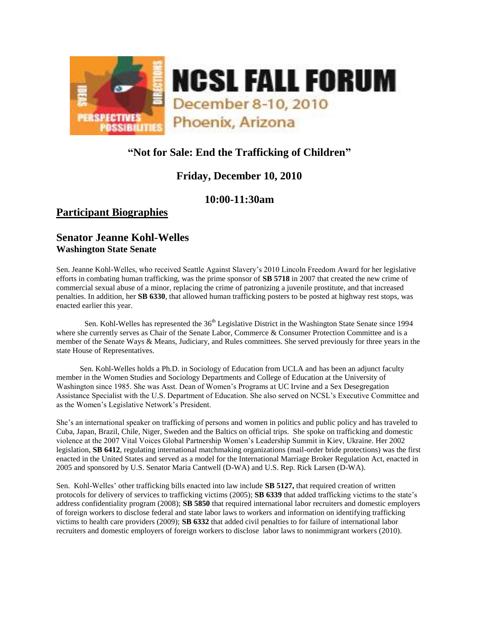

# **"Not for Sale: End the Trafficking of Children"**

# **Friday, December 10, 2010**

## **10:00-11:30am**

# **Participant Biographies**

## **Senator Jeanne Kohl-Welles Washington State Senate**

Sen. Jeanne Kohl-Welles, who received Seattle Against Slavery's 2010 Lincoln Freedom Award for her legislative efforts in combating human trafficking, was the prime sponsor of **SB 5718** in 2007 that created the new crime of commercial sexual abuse of a minor, replacing the crime of patronizing a juvenile prostitute, and that increased penalties. In addition, her **SB 6330**, that allowed human trafficking posters to be posted at highway rest stops, was enacted earlier this year.

Sen. Kohl-Welles has represented the 36<sup>th</sup> Legislative District in the Washington State Senate since 1994 where she currently serves as Chair of the Senate Labor, Commerce & Consumer Protection Committee and is a member of the Senate Ways & Means, Judiciary, and Rules committees. She served previously for three years in the state House of Representatives.

 Sen. Kohl-Welles holds a Ph.D. in Sociology of Education from UCLA and has been an adjunct faculty member in the Women Studies and Sociology Departments and College of Education at the University of Washington since 1985. She was Asst. Dean of Women's Programs at UC Irvine and a Sex Desegregation Assistance Specialist with the U.S. Department of Education. She also served on NCSL's Executive Committee and as the Women's Legislative Network's President.

She's an international speaker on trafficking of persons and women in politics and public policy and has traveled to Cuba, Japan, Brazil, Chile, Niger, Sweden and the Baltics on official trips. She spoke on trafficking and domestic violence at the 2007 Vital Voices Global Partnership Women's Leadership Summit in Kiev, Ukraine. Her 2002 legislation, **SB 6412**, regulating international matchmaking organizations (mail-order bride protections) was the first enacted in the United States and served as a model for the International Marriage Broker Regulation Act, enacted in 2005 and sponsored by U.S. Senator Maria Cantwell (D-WA) and U.S. Rep. Rick Larsen (D-WA).

Sen. Kohl-Welles' other trafficking bills enacted into law include **SB 5127,** that required creation of written protocols for delivery of services to trafficking victims (2005); **SB 6339** that added trafficking victims to the state's address confidentiality program (2008); **SB 5850** that required international labor recruiters and domestic employers of foreign workers to disclose federal and state labor laws to workers and information on identifying trafficking victims to health care providers (2009); **SB 6332** that added civil penalties to for failure of international labor recruiters and domestic employers of foreign workers to disclose labor laws to nonimmigrant workers (2010).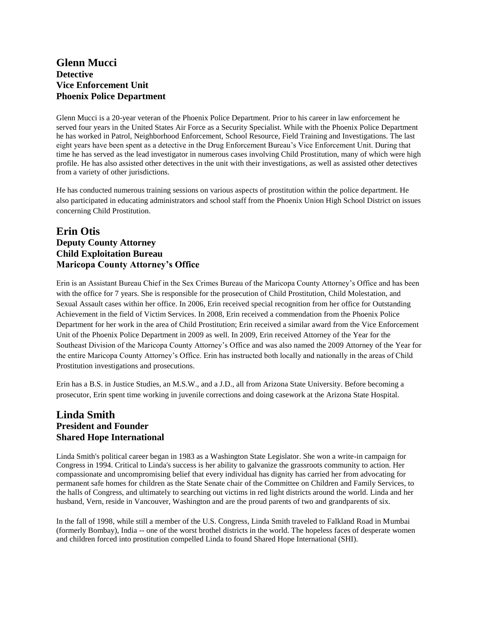### **Glenn Mucci Detective Vice Enforcement Unit Phoenix Police Department**

Glenn Mucci is a 20‐year veteran of the Phoenix Police Department. Prior to his career in law enforcement he served four years in the United States Air Force as a Security Specialist. While with the Phoenix Police Department he has worked in Patrol, Neighborhood Enforcement, School Resource, Field Training and Investigations. The last eight years have been spent as a detective in the Drug Enforcement Bureau's Vice Enforcement Unit. During that time he has served as the lead investigator in numerous cases involving Child Prostitution, many of which were high profile. He has also assisted other detectives in the unit with their investigations, as well as assisted other detectives from a variety of other jurisdictions.

He has conducted numerous training sessions on various aspects of prostitution within the police department. He also participated in educating administrators and school staff from the Phoenix Union High School District on issues concerning Child Prostitution.

### **Erin Otis Deputy County Attorney Child Exploitation Bureau Maricopa County Attorney's Office**

Erin is an Assistant Bureau Chief in the Sex Crimes Bureau of the Maricopa County Attorney's Office and has been with the office for 7 years. She is responsible for the prosecution of Child Prostitution, Child Molestation, and Sexual Assault cases within her office. In 2006, Erin received special recognition from her office for Outstanding Achievement in the field of Victim Services. In 2008, Erin received a commendation from the Phoenix Police Department for her work in the area of Child Prostitution; Erin received a similar award from the Vice Enforcement Unit of the Phoenix Police Department in 2009 as well. In 2009, Erin received Attorney of the Year for the Southeast Division of the Maricopa County Attorney's Office and was also named the 2009 Attorney of the Year for the entire Maricopa County Attorney's Office. Erin has instructed both locally and nationally in the areas of Child Prostitution investigations and prosecutions.

Erin has a B.S. in Justice Studies, an M.S.W., and a J.D., all from Arizona State University. Before becoming a prosecutor, Erin spent time working in juvenile corrections and doing casework at the Arizona State Hospital.

### **Linda Smith President and Founder Shared Hope International**

Linda Smith's political career began in 1983 as a Washington State Legislator. She won a write-in campaign for Congress in 1994. Critical to Linda's success is her ability to galvanize the grassroots community to action. Her compassionate and uncompromising belief that every individual has dignity has carried her from advocating for permanent safe homes for children as the State Senate chair of the Committee on Children and Family Services, to the halls of Congress, and ultimately to searching out victims in red light districts around the world. Linda and her husband, Vern, reside in Vancouver, Washington and are the proud parents of two and grandparents of six.

In the fall of 1998, while still a member of the U.S. Congress, Linda Smith traveled to Falkland Road in Mumbai (formerly Bombay), India -- one of the worst brothel districts in the world. The hopeless faces of desperate women and children forced into prostitution compelled Linda to found Shared Hope International (SHI).